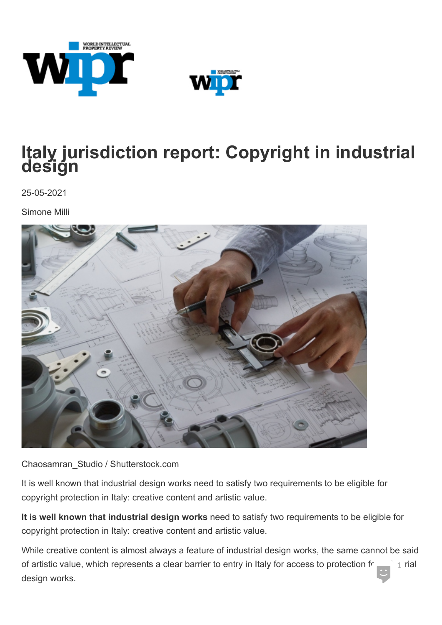



## **Italy jurisdiction report: Copyright in industrial design**

25-05-2021

Simone Milli



Chaosamran\_Studio / Shutterstock.com

It is well known that industrial design works need to satisfy two requirements to be eligible for copyright protection in Italy: creative content and artistic value.

**It is well known that industrial design works** need to satisfy two requirements to be eligible for copyright protection in Italy: creative content and artistic value.

While creative content is almost always a feature of industrial design works, the same cannot be said of artistic value, which represents a clear barrier to entry in Italy for access to protection free industrial<br>design works. 1 rial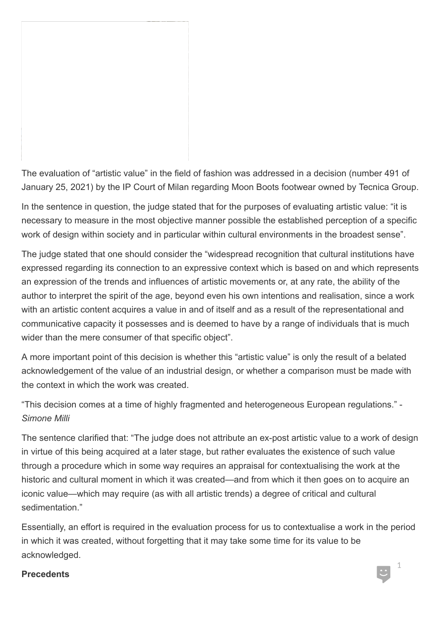The evaluation of "artistic value" in the field of fashion was addressed in a decision (number 491 of January 25, 2021) by the IP Court of Milan regarding Moon Boots footwear owned by Tecnica Group.

In the sentence in question, the judge stated that for the purposes of evaluating artistic value: "it is necessary to measure in the most objective manner possible the established perception of a specific work of design within society and in particular within cultural environments in the broadest sense".

The judge stated that one should consider the "widespread recognition that cultural institutions have expressed regarding its connection to an expressive context which is based on and which represents an expression of the trends and influences of artistic movements or, at any rate, the ability of the author to interpret the spirit of the age, beyond even his own intentions and realisation, since a work with an artistic content acquires a value in and of itself and as a result of the representational and communicative capacity it possesses and is deemed to have by a range of individuals that is much wider than the mere consumer of that specific object".

A more important point of this decision is whether this "artistic value" is only the result of a belated acknowledgement of the value of an industrial design, or whether a comparison must be made with the context in which the work was created.

"This decision comes at a time of highly fragmented and heterogeneous European regulations." - *Simone Milli*

The sentence clarified that: "The judge does not attribute an ex-post artistic value to a work of design in virtue of this being acquired at a later stage, but rather evaluates the existence of such value through a procedure which in some way requires an appraisal for contextualising the work at the historic and cultural moment in which it was created—and from which it then goes on to acquire an iconic value—which may require (as with all artistic trends) a degree of critical and cultural sedimentation."

Essentially, an effort is required in the evaluation process for us to contextualise a work in the period in which it was created, without forgetting that it may take some time for its value to be acknowledged.

## Precedents and the set of the set of the set of the set of the set of the set of the set of the set of the set of the set of the set of the set of the set of the set of the set of the set of the set of the set of the set

1